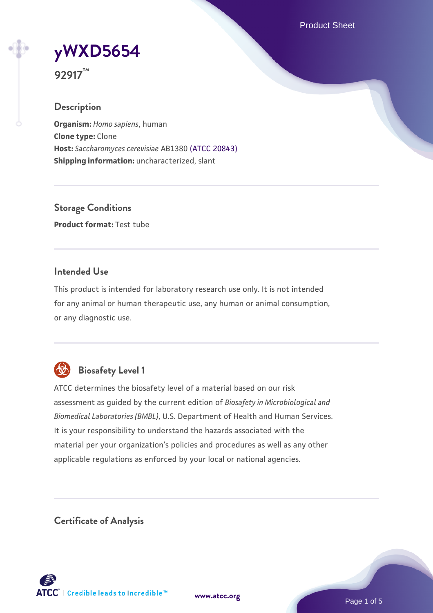Product Sheet

**[yWXD5654](https://www.atcc.org/products/92917)**



### **Description**

**Organism:** *Homo sapiens*, human **Clone type:** Clone **Host:** *Saccharomyces cerevisiae* AB1380 [\(ATCC 20843\)](https://www.atcc.org/products/20843) **Shipping information:** uncharacterized, slant

**Storage Conditions Product format:** Test tube

# **Intended Use**

This product is intended for laboratory research use only. It is not intended for any animal or human therapeutic use, any human or animal consumption, or any diagnostic use.



# **Biosafety Level 1**

ATCC determines the biosafety level of a material based on our risk assessment as guided by the current edition of *Biosafety in Microbiological and Biomedical Laboratories (BMBL)*, U.S. Department of Health and Human Services. It is your responsibility to understand the hazards associated with the material per your organization's policies and procedures as well as any other applicable regulations as enforced by your local or national agencies.

**Certificate of Analysis**

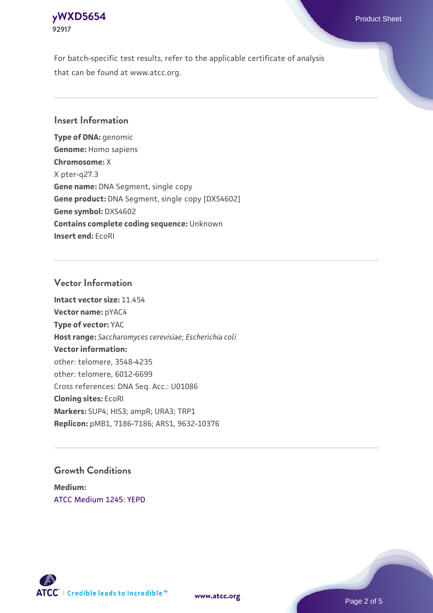### **[yWXD5654](https://www.atcc.org/products/92917)** Product Sheet **92917**

For batch-specific test results, refer to the applicable certificate of analysis that can be found at www.atcc.org.

# **Insert Information**

**Type of DNA:** genomic **Genome:** Homo sapiens **Chromosome:** X X pter-q27.3 **Gene name:** DNA Segment, single copy **Gene product:** DNA Segment, single copy [DXS4602] **Gene symbol:** DXS4602 **Contains complete coding sequence:** Unknown **Insert end:** EcoRI

# **Vector Information**

**Intact vector size:** 11.454 **Vector name:** pYAC4 **Type of vector:** YAC **Host range:** *Saccharomyces cerevisiae*; *Escherichia coli* **Vector information:** other: telomere, 3548-4235 other: telomere, 6012-6699 Cross references: DNA Seq. Acc.: U01086 **Cloning sites:** EcoRI **Markers:** SUP4; HIS3; ampR; URA3; TRP1 **Replicon:** pMB1, 7186-7186; ARS1, 9632-10376

# **Growth Conditions**

**Medium:**  [ATCC Medium 1245: YEPD](https://www.atcc.org/-/media/product-assets/documents/microbial-media-formulations/1/2/4/5/atcc-medium-1245.pdf?rev=705ca55d1b6f490a808a965d5c072196)



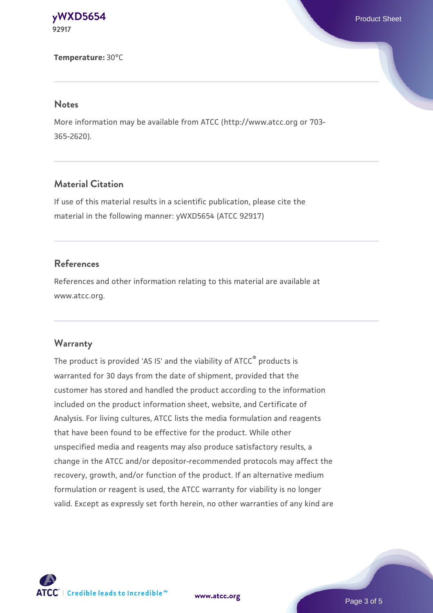#### **[yWXD5654](https://www.atcc.org/products/92917)** Product Sheet **92917**

**Temperature:** 30°C

#### **Notes**

More information may be available from ATCC (http://www.atcc.org or 703- 365-2620).

# **Material Citation**

If use of this material results in a scientific publication, please cite the material in the following manner: yWXD5654 (ATCC 92917)

# **References**

References and other information relating to this material are available at www.atcc.org.

### **Warranty**

The product is provided 'AS IS' and the viability of ATCC® products is warranted for 30 days from the date of shipment, provided that the customer has stored and handled the product according to the information included on the product information sheet, website, and Certificate of Analysis. For living cultures, ATCC lists the media formulation and reagents that have been found to be effective for the product. While other unspecified media and reagents may also produce satisfactory results, a change in the ATCC and/or depositor-recommended protocols may affect the recovery, growth, and/or function of the product. If an alternative medium formulation or reagent is used, the ATCC warranty for viability is no longer valid. Except as expressly set forth herein, no other warranties of any kind are



**[www.atcc.org](http://www.atcc.org)**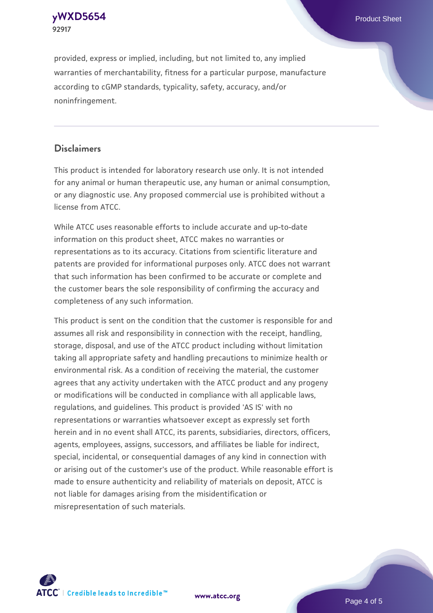**[yWXD5654](https://www.atcc.org/products/92917)** Product Sheet **92917**

provided, express or implied, including, but not limited to, any implied warranties of merchantability, fitness for a particular purpose, manufacture according to cGMP standards, typicality, safety, accuracy, and/or noninfringement.

### **Disclaimers**

This product is intended for laboratory research use only. It is not intended for any animal or human therapeutic use, any human or animal consumption, or any diagnostic use. Any proposed commercial use is prohibited without a license from ATCC.

While ATCC uses reasonable efforts to include accurate and up-to-date information on this product sheet, ATCC makes no warranties or representations as to its accuracy. Citations from scientific literature and patents are provided for informational purposes only. ATCC does not warrant that such information has been confirmed to be accurate or complete and the customer bears the sole responsibility of confirming the accuracy and completeness of any such information.

This product is sent on the condition that the customer is responsible for and assumes all risk and responsibility in connection with the receipt, handling, storage, disposal, and use of the ATCC product including without limitation taking all appropriate safety and handling precautions to minimize health or environmental risk. As a condition of receiving the material, the customer agrees that any activity undertaken with the ATCC product and any progeny or modifications will be conducted in compliance with all applicable laws, regulations, and guidelines. This product is provided 'AS IS' with no representations or warranties whatsoever except as expressly set forth herein and in no event shall ATCC, its parents, subsidiaries, directors, officers, agents, employees, assigns, successors, and affiliates be liable for indirect, special, incidental, or consequential damages of any kind in connection with or arising out of the customer's use of the product. While reasonable effort is made to ensure authenticity and reliability of materials on deposit, ATCC is not liable for damages arising from the misidentification or misrepresentation of such materials.



**[www.atcc.org](http://www.atcc.org)**

Page 4 of 5